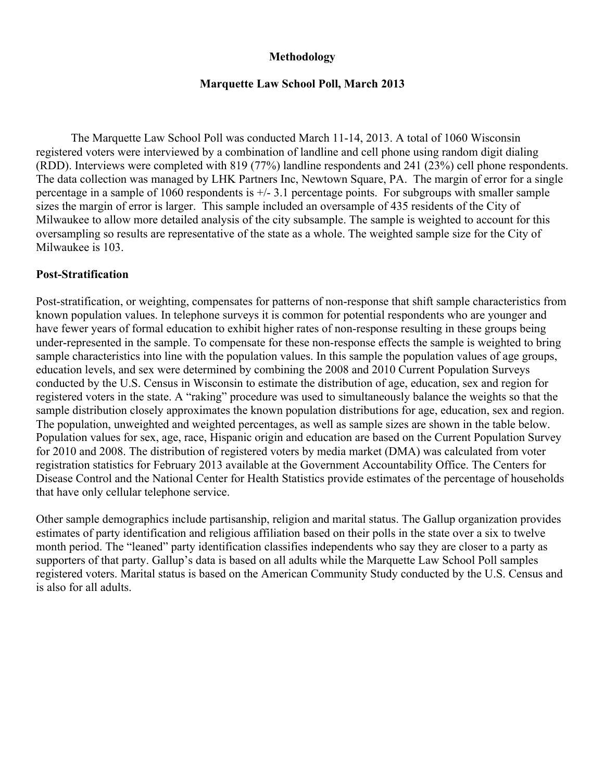### **Methodology**

#### **Marquette Law School Poll, March 2013**

The Marquette Law School Poll was conducted March 11-14, 2013. A total of 1060 Wisconsin registered voters were interviewed by a combination of landline and cell phone using random digit dialing (RDD). Interviews were completed with 819 (77%) landline respondents and 241 (23%) cell phone respondents. The data collection was managed by LHK Partners Inc, Newtown Square, PA. The margin of error for a single percentage in a sample of 1060 respondents is +/- 3.1 percentage points. For subgroups with smaller sample sizes the margin of error is larger. This sample included an oversample of 435 residents of the City of Milwaukee to allow more detailed analysis of the city subsample. The sample is weighted to account for this oversampling so results are representative of the state as a whole. The weighted sample size for the City of Milwaukee is 103.

### **Post-Stratification**

Post-stratification, or weighting, compensates for patterns of non-response that shift sample characteristics from known population values. In telephone surveys it is common for potential respondents who are younger and have fewer years of formal education to exhibit higher rates of non-response resulting in these groups being under-represented in the sample. To compensate for these non-response effects the sample is weighted to bring sample characteristics into line with the population values. In this sample the population values of age groups, education levels, and sex were determined by combining the 2008 and 2010 Current Population Surveys conducted by the U.S. Census in Wisconsin to estimate the distribution of age, education, sex and region for registered voters in the state. A "raking" procedure was used to simultaneously balance the weights so that the sample distribution closely approximates the known population distributions for age, education, sex and region. The population, unweighted and weighted percentages, as well as sample sizes are shown in the table below. Population values for sex, age, race, Hispanic origin and education are based on the Current Population Survey for 2010 and 2008. The distribution of registered voters by media market (DMA) was calculated from voter registration statistics for February 2013 available at the Government Accountability Office. The Centers for Disease Control and the National Center for Health Statistics provide estimates of the percentage of households that have only cellular telephone service.

Other sample demographics include partisanship, religion and marital status. The Gallup organization provides estimates of party identification and religious affiliation based on their polls in the state over a six to twelve month period. The "leaned" party identification classifies independents who say they are closer to a party as supporters of that party. Gallup's data is based on all adults while the Marquette Law School Poll samples registered voters. Marital status is based on the American Community Study conducted by the U.S. Census and is also for all adults.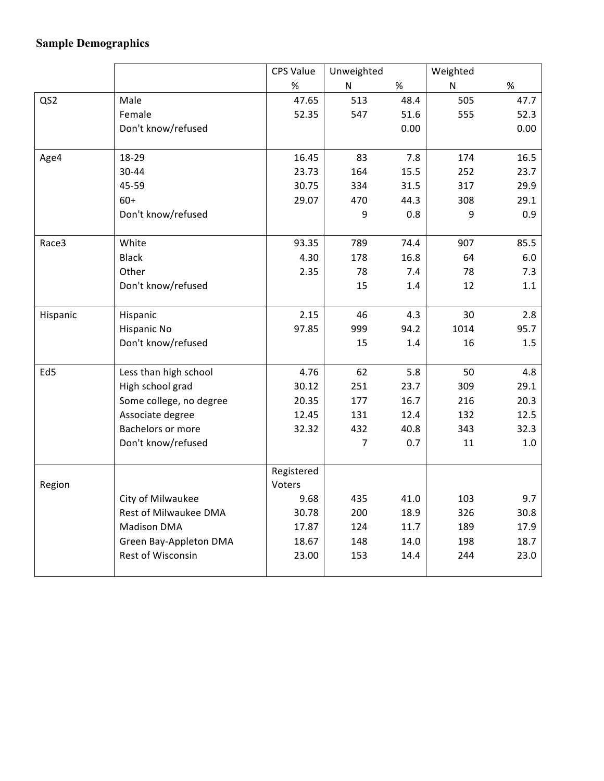## **Sample Demographics**

|                 |                          | CPS Value  | Unweighted     |      | Weighted  |      |
|-----------------|--------------------------|------------|----------------|------|-----------|------|
|                 |                          | $\%$       | N              | $\%$ | ${\sf N}$ | $\%$ |
| QS2             | Male                     | 47.65      | 513            | 48.4 | 505       | 47.7 |
|                 | Female                   | 52.35      | 547            | 51.6 | 555       | 52.3 |
|                 | Don't know/refused       |            |                | 0.00 |           | 0.00 |
|                 |                          |            |                |      |           |      |
| Age4            | 18-29                    | 16.45      | 83             | 7.8  | 174       | 16.5 |
|                 | 30-44                    | 23.73      | 164            | 15.5 | 252       | 23.7 |
|                 | 45-59                    | 30.75      | 334            | 31.5 | 317       | 29.9 |
|                 | $60+$                    | 29.07      | 470            | 44.3 | 308       | 29.1 |
|                 | Don't know/refused       |            | 9              | 0.8  | 9         | 0.9  |
|                 |                          |            |                |      |           |      |
| Race3           | White                    | 93.35      | 789            | 74.4 | 907       | 85.5 |
|                 | <b>Black</b>             | 4.30       | 178            | 16.8 | 64        | 6.0  |
|                 | Other                    | 2.35       | 78             | 7.4  | 78        | 7.3  |
|                 | Don't know/refused       |            | 15             | 1.4  | 12        | 1.1  |
|                 |                          |            |                |      |           |      |
| Hispanic        | Hispanic                 | 2.15       | 46             | 4.3  | 30        | 2.8  |
|                 | Hispanic No              | 97.85      | 999            | 94.2 | 1014      | 95.7 |
|                 | Don't know/refused       |            | 15             | 1.4  | 16        | 1.5  |
|                 |                          |            |                |      |           |      |
| Ed <sub>5</sub> | Less than high school    | 4.76       | 62             | 5.8  | 50        | 4.8  |
|                 | High school grad         | 30.12      | 251            | 23.7 | 309       | 29.1 |
|                 | Some college, no degree  | 20.35      | 177            | 16.7 | 216       | 20.3 |
|                 | Associate degree         | 12.45      | 131            | 12.4 | 132       | 12.5 |
|                 | <b>Bachelors or more</b> | 32.32      | 432            | 40.8 | 343       | 32.3 |
|                 | Don't know/refused       |            | $\overline{7}$ | 0.7  | 11        | 1.0  |
|                 |                          | Registered |                |      |           |      |
| Region          |                          | Voters     |                |      |           |      |
|                 | City of Milwaukee        | 9.68       | 435            | 41.0 | 103       | 9.7  |
|                 | Rest of Milwaukee DMA    | 30.78      | 200            | 18.9 | 326       | 30.8 |
|                 | <b>Madison DMA</b>       | 17.87      | 124            | 11.7 | 189       | 17.9 |
|                 | Green Bay-Appleton DMA   | 18.67      | 148            | 14.0 | 198       | 18.7 |
|                 | Rest of Wisconsin        | 23.00      | 153            | 14.4 | 244       | 23.0 |
|                 |                          |            |                |      |           |      |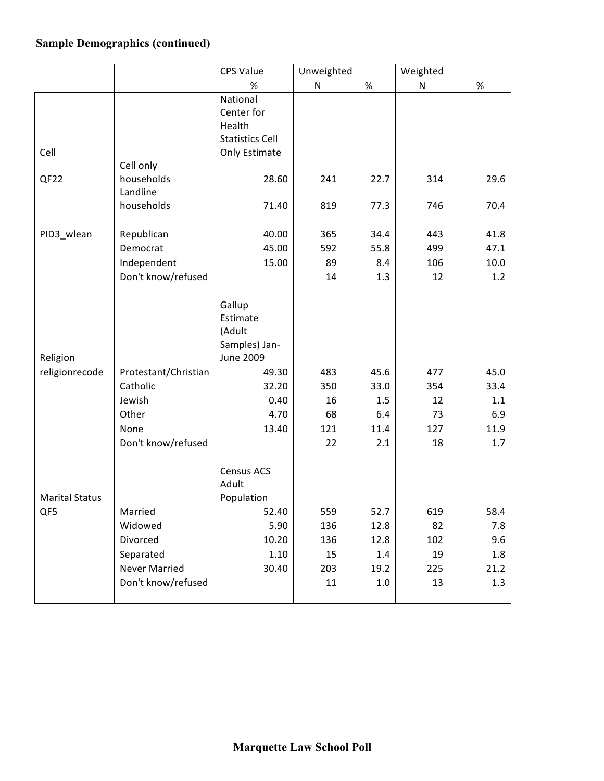## **Sample Demographics (continued)**

|                       | <b>CPS Value</b>     |                                   | Unweighted   |         | Weighted  |      |
|-----------------------|----------------------|-----------------------------------|--------------|---------|-----------|------|
|                       |                      | %                                 | $\mathsf{N}$ | $\%$    | ${\sf N}$ | $\%$ |
|                       |                      | National                          |              |         |           |      |
|                       |                      | Center for                        |              |         |           |      |
|                       |                      | Health                            |              |         |           |      |
|                       |                      | <b>Statistics Cell</b>            |              |         |           |      |
| Cell                  |                      | Only Estimate                     |              |         |           |      |
|                       | Cell only            |                                   |              |         |           |      |
| QF <sub>22</sub>      | households           | 28.60                             | 241          | 22.7    | 314       | 29.6 |
|                       | Landline             |                                   |              |         |           |      |
|                       | households           | 71.40                             | 819          | 77.3    | 746       | 70.4 |
|                       |                      |                                   |              |         |           |      |
| PID3_wlean            | Republican           | 40.00                             | 365          | 34.4    | 443       | 41.8 |
|                       | Democrat             | 45.00                             | 592          | 55.8    | 499       | 47.1 |
|                       | Independent          | 15.00                             | 89           | 8.4     | 106       | 10.0 |
|                       | Don't know/refused   |                                   | 14           | 1.3     | 12        | 1.2  |
|                       |                      |                                   |              |         |           |      |
|                       |                      | Gallup                            |              |         |           |      |
|                       |                      | Estimate                          |              |         |           |      |
|                       |                      | (Adult                            |              |         |           |      |
| Religion              |                      | Samples) Jan-<br><b>June 2009</b> |              |         |           |      |
| religionrecode        | Protestant/Christian | 49.30                             | 483          | 45.6    | 477       | 45.0 |
|                       | Catholic             | 32.20                             | 350          | 33.0    | 354       | 33.4 |
|                       | Jewish               | 0.40                              | 16           | 1.5     | 12        | 1.1  |
|                       | Other                | 4.70                              | 68           | 6.4     | 73        | 6.9  |
|                       | None                 | 13.40                             | 121          | 11.4    | 127       | 11.9 |
|                       | Don't know/refused   |                                   | 22           | 2.1     | 18        | 1.7  |
|                       |                      |                                   |              |         |           |      |
|                       |                      | Census ACS                        |              |         |           |      |
|                       |                      | Adult                             |              |         |           |      |
| <b>Marital Status</b> |                      | Population                        |              |         |           |      |
| QF5                   | Married              | 52.40                             | 559          | 52.7    | 619       | 58.4 |
|                       | Widowed              | 5.90                              | 136          | 12.8    | 82        | 7.8  |
|                       | Divorced             | 10.20                             | 136          | 12.8    | 102       | 9.6  |
|                       | Separated            | 1.10                              | 15           | 1.4     | 19        | 1.8  |
|                       | Never Married        | 30.40                             | 203          | 19.2    | 225       | 21.2 |
|                       | Don't know/refused   |                                   | 11           | $1.0\,$ | 13        | 1.3  |
|                       |                      |                                   |              |         |           |      |